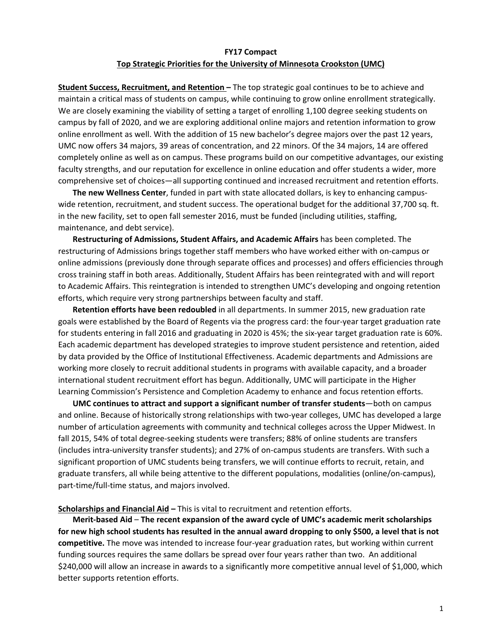#### **FY17 Compact Top Strategic Priorities for the University of Minnesota Crookston (UMC)**

**Student Success, Recruitment, and Retention –** The top strategic goal continues to be to achieve and maintain a critical mass of students on campus, while continuing to grow online enrollment strategically. We are closely examining the viability of setting a target of enrolling 1,100 degree seeking students on campus by fall of 2020, and we are exploring additional online majors and retention information to grow online enrollment as well. With the addition of 15 new bachelor's degree majors over the past 12 years, UMC now offers 34 majors, 39 areas of concentration, and 22 minors. Of the 34 majors, 14 are offered completely online as well as on campus. These programs build on our competitive advantages, our existing faculty strengths, and our reputation for excellence in online education and offer students a wider, more comprehensive set of choices—all supporting continued and increased recruitment and retention efforts.

**The new Wellness Center**, funded in part with state allocated dollars, is key to enhancing campus‐ wide retention, recruitment, and student success. The operational budget for the additional 37,700 sq. ft. in the new facility, set to open fall semester 2016, must be funded (including utilities, staffing, maintenance, and debt service).

**Restructuring of Admissions, Student Affairs, and Academic Affairs** has been completed. The restructuring of Admissions brings together staff members who have worked either with on‐campus or online admissions (previously done through separate offices and processes) and offers efficiencies through cross training staff in both areas. Additionally, Student Affairs has been reintegrated with and will report to Academic Affairs. This reintegration is intended to strengthen UMC's developing and ongoing retention efforts, which require very strong partnerships between faculty and staff.

**Retention efforts have been redoubled** in all departments. In summer 2015, new graduation rate goals were established by the Board of Regents via the progress card: the four‐year target graduation rate for students entering in fall 2016 and graduating in 2020 is 45%; the six‐year target graduation rate is 60%. Each academic department has developed strategies to improve student persistence and retention, aided by data provided by the Office of Institutional Effectiveness. Academic departments and Admissions are working more closely to recruit additional students in programs with available capacity, and a broader international student recruitment effort has begun. Additionally, UMC will participate in the Higher Learning Commission's Persistence and Completion Academy to enhance and focus retention efforts.

**UMC continues to attract and support a significant number of transfer students**—both on campus and online. Because of historically strong relationships with two-year colleges, UMC has developed a large number of articulation agreements with community and technical colleges across the Upper Midwest. In fall 2015, 54% of total degree-seeking students were transfers; 88% of online students are transfers (includes intra‐university transfer students); and 27% of on‐campus students are transfers. With such a significant proportion of UMC students being transfers, we will continue efforts to recruit, retain, and graduate transfers, all while being attentive to the different populations, modalities (online/on‐campus), part-time/full-time status, and majors involved.

#### **Scholarships and Financial Aid –** This is vital to recruitment and retention efforts.

**Merit‐based Aid** – **The recent expansion of the award cycle of UMC's academic merit scholarships** for new high school students has resulted in the annual award dropping to only \$500, a level that is not **competitive.** The move was intended to increase four‐year graduation rates, but working within current funding sources requires the same dollars be spread over four years rather than two. An additional \$240,000 will allow an increase in awards to a significantly more competitive annual level of \$1,000, which better supports retention efforts.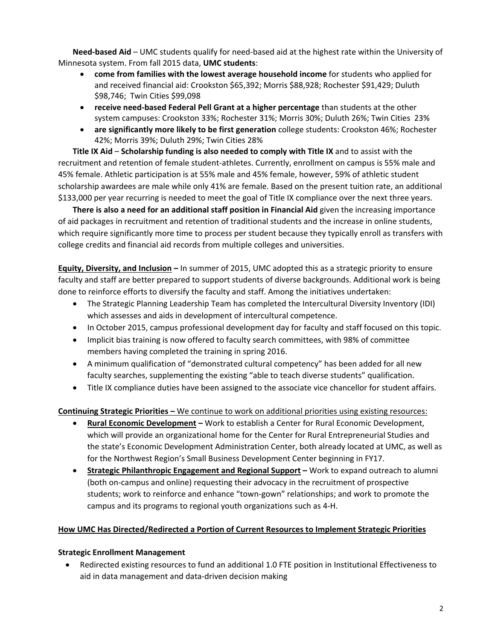**Need‐based Aid** – UMC students qualify for need‐based aid at the highest rate within the University of Minnesota system. From fall 2015 data, **UMC students**:

- **come from families with the lowest average household income** for students who applied for and received financial aid: Crookston \$65,392; Morris \$88,928; Rochester \$91,429; Duluth \$98,746; Twin Cities \$99,098
- **receive need‐based Federal Pell Grant at a higher percentage** than students at the other system campuses: Crookston 33%; Rochester 31%; Morris 30%; Duluth 26%; Twin Cities 23%
- **are significantly more likely to be first generation** college students: Crookston 46%; Rochester 42%; Morris 39%; Duluth 29%; Twin Cities 28%

**Title IX Aid** – **Scholarship funding is also needed to comply with Title IX** and to assist with the recruitment and retention of female student‐athletes. Currently, enrollment on campus is 55% male and 45% female. Athletic participation is at 55% male and 45% female, however, 59% of athletic student scholarship awardees are male while only 41% are female. Based on the present tuition rate, an additional \$133,000 per year recurring is needed to meet the goal of Title IX compliance over the next three years.

**There is also a need for an additional staff position in Financial Aid** given the increasing importance of aid packages in recruitment and retention of traditional students and the increase in online students, which require significantly more time to process per student because they typically enroll as transfers with college credits and financial aid records from multiple colleges and universities.

**Equity, Diversity, and Inclusion –** In summer of 2015, UMC adopted this as a strategic priority to ensure faculty and staff are better prepared to support students of diverse backgrounds. Additional work is being done to reinforce efforts to diversify the faculty and staff. Among the initiatives undertaken:

- The Strategic Planning Leadership Team has completed the Intercultural Diversity Inventory (IDI) which assesses and aids in development of intercultural competence.
- In October 2015, campus professional development day for faculty and staff focused on this topic.
- Implicit bias training is now offered to faculty search committees, with 98% of committee members having completed the training in spring 2016.
- A minimum qualification of "demonstrated cultural competency" has been added for all new faculty searches, supplementing the existing "able to teach diverse students" qualification.
- Title IX compliance duties have been assigned to the associate vice chancellor for student affairs.

**Continuing Strategic Priorities –** We continue to work on additional priorities using existing resources:

- **Rural Economic Development –** Work to establish a Center for Rural Economic Development, which will provide an organizational home for the Center for Rural Entrepreneurial Studies and the state's Economic Development Administration Center, both already located at UMC, as well as for the Northwest Region's Small Business Development Center beginning in FY17.
- **Strategic Philanthropic Engagement and Regional Support –** Work to expand outreach to alumni (both on‐campus and online) requesting their advocacy in the recruitment of prospective students; work to reinforce and enhance "town‐gown" relationships; and work to promote the campus and its programs to regional youth organizations such as 4‐H.

# **How UMC Has Directed/Redirected a Portion of Current Resources to Implement Strategic Priorities**

## **Strategic Enrollment Management**

 Redirected existing resources to fund an additional 1.0 FTE position in Institutional Effectiveness to aid in data management and data‐driven decision making